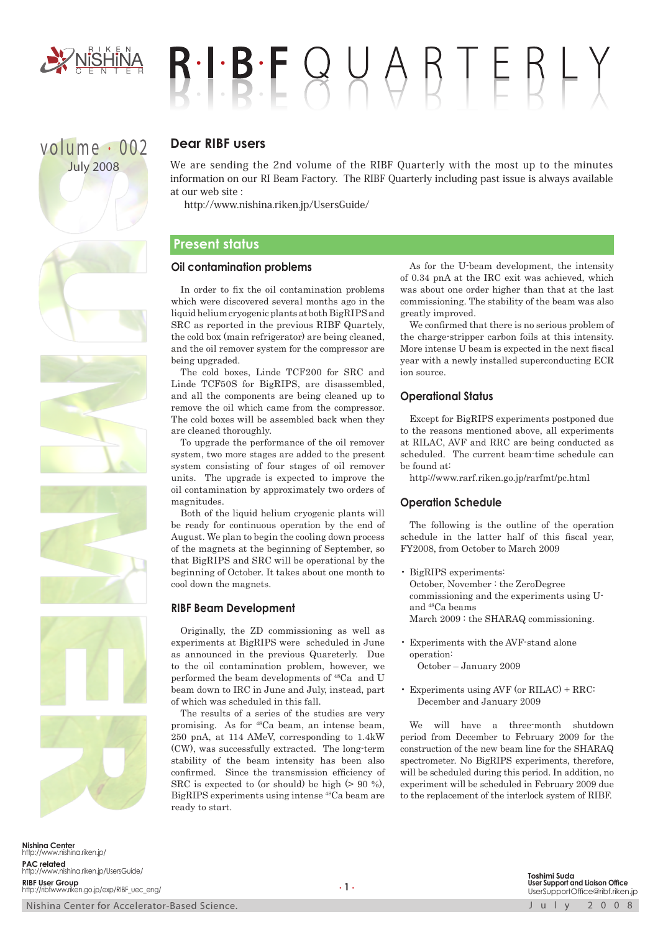

# $B!B!F Q V A B T E B L Y$

# volume . 002 July 2008

# **Dear RIBF users**

We are sending the 2nd volume of the RIBF Quarterly with the most up to the minutes information on our RI Beam Factory. The RIBF Quarterly including past issue is always available at our web site :

http://www.nishina.riken.jp/UsersGuide/

# **Present status**

### **Oil contamination problems**

In order to fix the oil contamination problems which were discovered several months ago in the liquid helium cryogenic plants at both BigRIPS and SRC as reported in the previous RIBF Quartely, the cold box (main refrigerator) are being cleaned, and the oil remover system for the compressor are being upgraded.

The cold boxes, Linde TCF200 for SRC and Linde TCF50S for BigRIPS, are disassembled, and all the components are being cleaned up to remove the oil which came from the compressor. The cold boxes will be assembled back when they are cleaned thoroughly.

To upgrade the performance of the oil remover system, two more stages are added to the present system consisting of four stages of oil remover units. The upgrade is expected to improve the oil contamination by approximately two orders of magnitudes.

Both of the liquid helium cryogenic plants will be ready for continuous operation by the end of August. We plan to begin the cooling down process of the magnets at the beginning of September, so that BigRIPS and SRC will be operational by the beginning of October. It takes about one month to cool down the magnets.

### **RIBF Beam Development**

Originally, the ZD commissioning as well as experiments at BigRIPS were scheduled in June as announced in the previous Quareterly. Due to the oil contamination problem, however, we performed the beam developments of <sup>48</sup>Ca and U beam down to IRC in June and July, instead, part of which was scheduled in this fall.

The results of a series of the studies are very promising. As for <sup>48</sup>Ca beam, an intense beam, 250 pnA, at 114 AMeV, corresponding to 1.4kW (CW), was successfully extracted. The long-term stability of the beam intensity has been also confirmed. Since the transmission efficiency of SRC is expected to (or should) be high (> 90 %), BigRIPS experiments using intense <sup>48</sup>Ca beam are ready to start.

As for the U-beam development, the intensity of 0.34 pnA at the IRC exit was achieved, which was about one order higher than that at the last commissioning. The stability of the beam was also greatly improved.

We confirmed that there is no serious problem of the charge-stripper carbon foils at this intensity. More intense U beam is expected in the next fiscal year with a newly installed superconducting ECR ion source.

### **Operational Status**

Except for BigRIPS experiments postponed due to the reasons mentioned above, all experiments at RILAC, AVF and RRC are being conducted as scheduled. The current beam-time schedule can be found at:

http://www.rarf.riken.go.jp/rarfmt/pc.html

### **Operation Schedule**

The following is the outline of the operation schedule in the latter half of this fiscal year, FY2008, from October to March 2009

- BigRIPS experiments: October, November : the ZeroDegree commissioning and the experiments using Uand <sup>48</sup>Ca beams March 2009 : the SHARAQ commissioning.
- Experiments with the AVF-stand alone operation: October – January 2009
- Experiments using AVF (or RILAC) + RRC: December and January 2009

We will have a three-month shutdown period from December to February 2009 for the construction of the new beam line for the SHARAQ spectrometer. No BigRIPS experiments, therefore, will be scheduled during this period. In addition, no experiment will be scheduled in February 2009 due to the replacement of the interlock system of RIBF.

**Nishina Center** http://www.nishina.riken.jp/ **PAC related** http://www.nishina.riken.jp/UsersGuide/ **RIBF User Group** http://ribfwww.riken.go.jp/exp/RIBF\_uec\_eng/